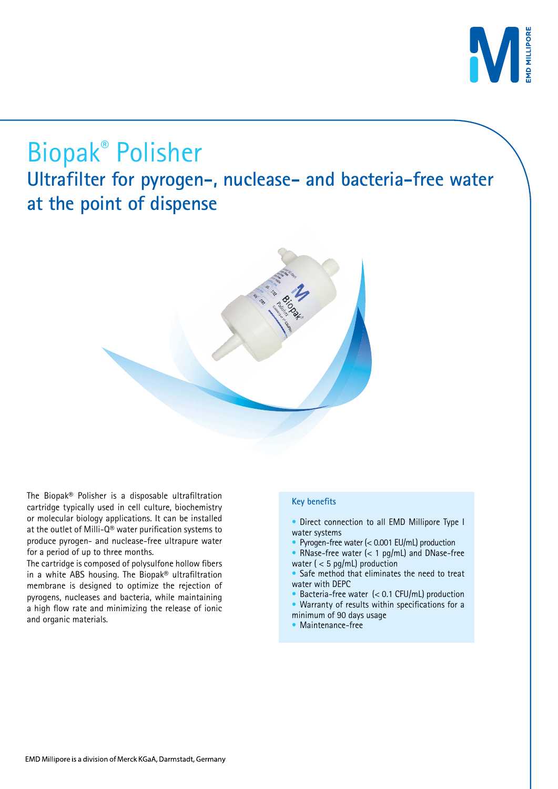

# Biopak® Polisher

**Ultrafilter for pyrogen-, nuclease- and bacteria-free water at the point of dispense**



The cartridge is composed of polysulfone hollow fibers in a white ABS housing. The Biopak® ultrafiltration membrane is designed to optimize the rejection of pyrogens, nucleases and bacteria, while maintaining a high flow rate and minimizing the release of ionic and organic materials.

#### **Key benefits**

- Direct connection to all EMD Millipore Type I water systems
- Pyrogen-free water (< 0.001 EU/mL) production
- RNase-free water (< 1 pg/mL) and DNase-free water ( $<$  5 pg/mL) production
- Safe method that eliminates the need to treat water with DEPC
- Bacteria-free water  $(< 0.1$  CFU/mL) production
- Warranty of results within specifications for a minimum of 90 days usage
- Maintenance-free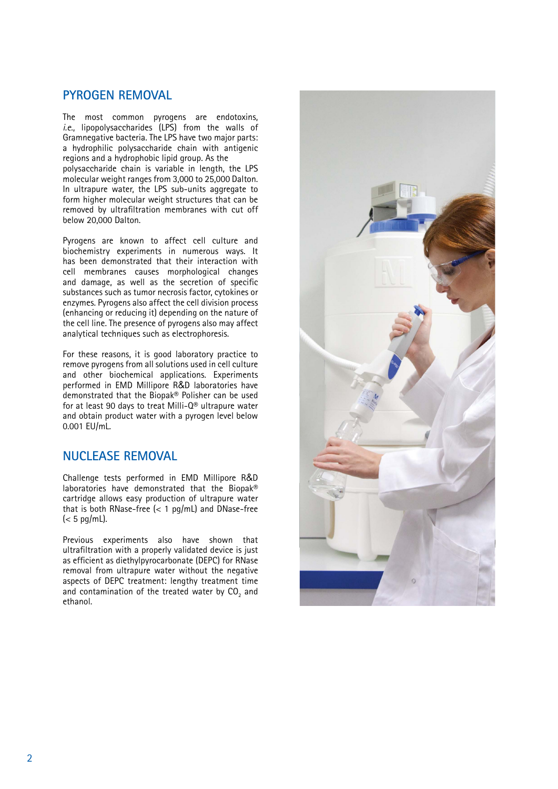#### **Pyrogen removal**

The most common pyrogens are endotoxins, *i.e.*, lipopolysaccharides (LPS) from the walls of Gramnegative bacteria. The LPS have two major parts: a hydrophilic polysaccharide chain with antigenic regions and a hydrophobic lipid group. As the polysaccharide chain is variable in length, the LPS molecular weight ranges from 3,000 to 25,000 Dalton. In ultrapure water, the LPS sub-units aggregate to form higher molecular weight structures that can be removed by ultrafiltration membranes with cut off below 20,000 Dalton.

Pyrogens are known to affect cell culture and biochemistry experiments in numerous ways. It has been demonstrated that their interaction with cell membranes causes morphological changes and damage, as well as the secretion of specific substances such as tumor necrosis factor, cytokines or enzymes. Pyrogens also affect the cell division process (enhancing or reducing it) depending on the nature of the cell line. The presence of pyrogens also may affect analytical techniques such as electrophoresis.

For these reasons, it is good laboratory practice to remove pyrogens from all solutions used in cell culture and other biochemical applications. Experiments performed in EMD Millipore R&D laboratories have demonstrated that the Biopak® Polisher can be used for at least 90 days to treat Milli-Q® ultrapure water and obtain product water with a pyrogen level below 0.001 EU/mL.

## **Nuclease removal**

Challenge tests performed in EMD Millipore R&D laboratories have demonstrated that the Biopak® cartridge allows easy production of ultrapure water that is both RNase-free  $\left($  < 1 pg/mL) and DNase-free  $\leq 5$  pg/mL).

Previous experiments also have shown that ultrafiltration with a properly validated device is just as efficient as diethylpyrocarbonate (DEPC) for RNase removal from ultrapure water without the negative aspects of DEPC treatment: lengthy treatment time and contamination of the treated water by  $\mathsf{CO}_2$  and ethanol.

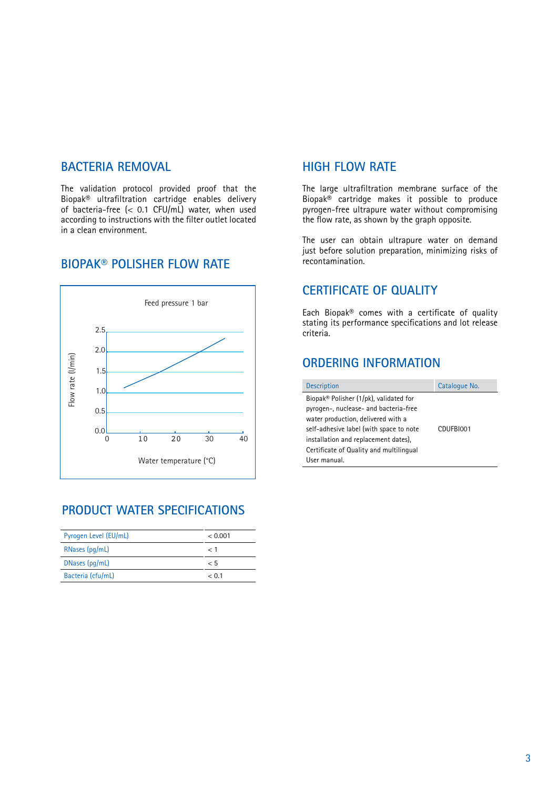#### **BACTERIA REMOVAL**

The validation protocol provided proof that the Biopak® ultrafiltration cartridge enables delivery of bacteria-free (< 0.1 CFU/mL) water, when used according to instructions with the filter outlet located in a clean environment.

#### **BioPak® POLISHER flow rate**



# **Product water specifications**

| Pyrogen Level (EU/mL) | < 0.001 |
|-----------------------|---------|
| RNases (pg/mL)        | - 1     |
| DNases (pg/mL)        | - 5     |
| Bacteria (cfu/mL)     | < 0.1   |

#### **High flow rate**

The large ultrafiltration membrane surface of the Biopak® cartridge makes it possible to produce pyrogen-free ultrapure water without compromising the flow rate, as shown by the graph opposite.

The user can obtain ultrapure water on demand just before solution preparation, minimizing risks of recontamination.

#### **Certificate of Quality**

Each Biopak® comes with a certificate of quality stating its performance specifications and lot release criteria.

### **ORDERING INFORMATION**

| <b>Description</b>                                                                                                                                                                                                                                                  | Catalogue No. |
|---------------------------------------------------------------------------------------------------------------------------------------------------------------------------------------------------------------------------------------------------------------------|---------------|
| Biopak® Polisher (1/pk), validated for<br>pyrogen-, nuclease- and bacteria-free<br>water production, delivered with a<br>self-adhesive label (with space to note<br>installation and replacement dates),<br>Certificate of Quality and multilingual<br>User manual. | CDUFBI001     |